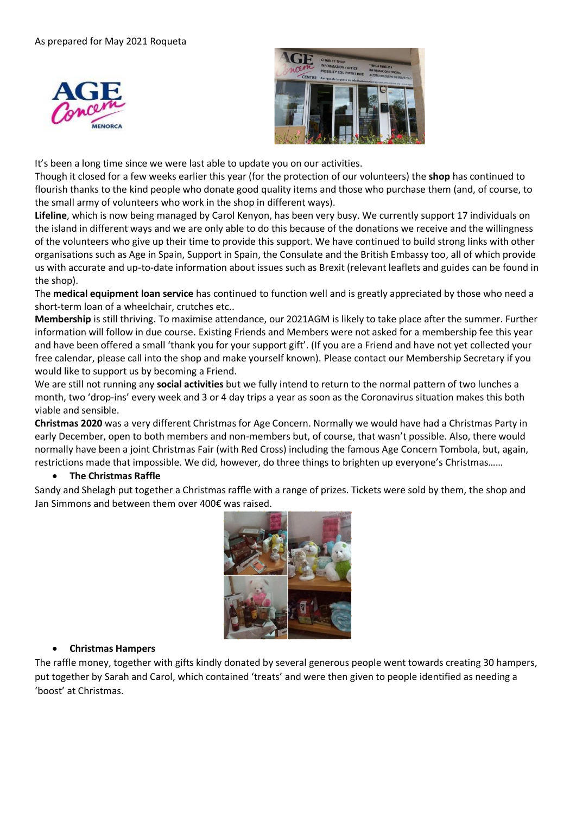



It's been a long time since we were last able to update you on our activities.

Though it closed for a few weeks earlier this year (for the protection of our volunteers) the **shop** has continued to flourish thanks to the kind people who donate good quality items and those who purchase them (and, of course, to the small army of volunteers who work in the shop in different ways).

**Lifeline**, which is now being managed by Carol Kenyon, has been very busy. We currently support 17 individuals on the island in different ways and we are only able to do this because of the donations we receive and the willingness of the volunteers who give up their time to provide this support. We have continued to build strong links with other organisations such as Age in Spain, Support in Spain, the Consulate and the British Embassy too, all of which provide us with accurate and up-to-date information about issues such as Brexit (relevant leaflets and guides can be found in the shop).

The **medical equipment loan service** has continued to function well and is greatly appreciated by those who need a short-term loan of a wheelchair, crutches etc..

**Membership** is still thriving. To maximise attendance, our 2021AGM is likely to take place after the summer. Further information will follow in due course. Existing Friends and Members were not asked for a membership fee this year and have been offered a small 'thank you for your support gift'. (If you are a Friend and have not yet collected your free calendar, please call into the shop and make yourself known). Please contact our Membership Secretary if you would like to support us by becoming a Friend.

We are still not running any **social activities** but we fully intend to return to the normal pattern of two lunches a month, two 'drop-ins' every week and 3 or 4 day trips a year as soon as the Coronavirus situation makes this both viable and sensible.

**Christmas 2020** was a very different Christmas for Age Concern. Normally we would have had a Christmas Party in early December, open to both members and non-members but, of course, that wasn't possible. Also, there would normally have been a joint Christmas Fair (with Red Cross) including the famous Age Concern Tombola, but, again, restrictions made that impossible. We did, however, do three things to brighten up everyone's Christmas……

## • **The Christmas Raffle**

Sandy and Shelagh put together a Christmas raffle with a range of prizes. Tickets were sold by them, the shop and Jan Simmons and between them over 400€ was raised.



## • **Christmas Hampers**

The raffle money, together with gifts kindly donated by several generous people went towards creating 30 hampers, put together by Sarah and Carol, which contained 'treats' and were then given to people identified as needing a 'boost' at Christmas.